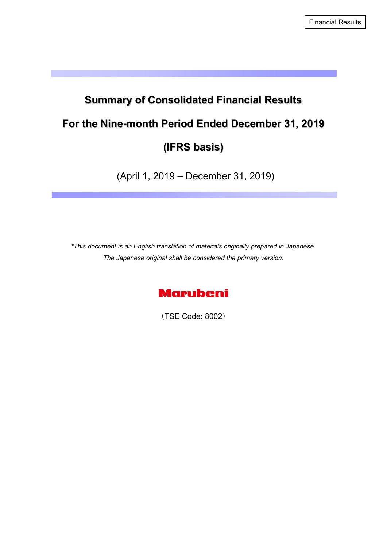# **Summary of Consolidated Financial Results For the Nine-month Period Ended December 31, 2019 (IFRS basis)**

(April 1, 2019 – December 31, 2019)

*\*This document is an English translation of materials originally prepared in Japanese. The Japanese original shall be considered the primary version.* 



(TSE Code: 8002)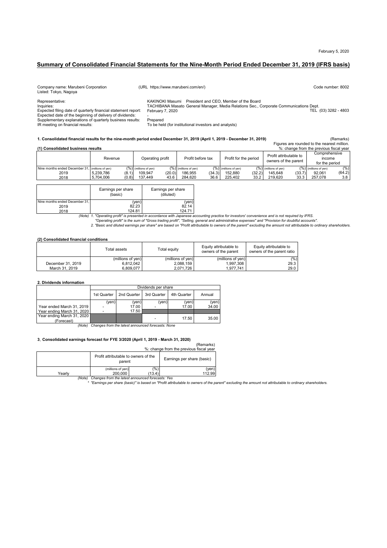#### **Summary of Consolidated Financial Statements for the Nine-Month Period Ended December 31, 2019 (IFRS basis)**

| (URL https://www.marubeni.com/en/)                                                                                                                                                                                                                                                                         | Code number: 8002                                                                      |
|------------------------------------------------------------------------------------------------------------------------------------------------------------------------------------------------------------------------------------------------------------------------------------------------------------|----------------------------------------------------------------------------------------|
| KAKINOKI Masumi President and CEO. Member of the Board<br>TACHIBANA Masato General Manager, Media Relations Sec., Corporate Communications Dept.<br>Expected filing date of quarterly financial statement report:<br>February 7, 2020<br>Prepared<br>To be held (for institutional investors and analysts) | TEL (03) 3282 - 4803                                                                   |
| 1. Consolidated financial results for the nine-month period ended December 31, 2019 (April 1, 2019 - December 31, 2019)                                                                                                                                                                                    | (Remarks)                                                                              |
|                                                                                                                                                                                                                                                                                                            | Figures are rounded to the nearest million.<br>%: change from the previous fiscal year |
|                                                                                                                                                                                                                                                                                                            |                                                                                        |

|                                                  | Revenue            | Operating profit        | Profit before tax       | Profit for the period   | Profit attributable to<br>owners of the parent | Comprehensive<br>income<br>for the period |  |
|--------------------------------------------------|--------------------|-------------------------|-------------------------|-------------------------|------------------------------------------------|-------------------------------------------|--|
| Nine months ended December 31. (millions of yen) |                    | $(%)$ (millions of yen) | $(%)$ (millions of ven) | $(%)$ (millions of ven) | $(% )$ (millions of ven)                       | (%)<br>$(% )$ (millions of ven)           |  |
| 2019                                             | (8.1)<br>5.239.786 | (20.0)<br>109.947       | 186.955<br>(34.3)       | 152.880<br>(32.2)       | (33.7)<br>145.648                              | (64.2)<br>92.061                          |  |
| 2018                                             | 5.704.006<br>(0.8) | 43.6<br>137.449         | 36.6<br>284.620         | 33.2<br>225.402         | 33.3<br>219.620                                | 3.8<br>257.078                            |  |

|                                | Earnings per share<br>(basic) | Earnings per share<br>(diluted)                                 |
|--------------------------------|-------------------------------|-----------------------------------------------------------------|
| Nine months ended December 31, | (yen)                         | (yen)                                                           |
| 2019                           | 82.23                         | 82.14                                                           |
| 2018                           | 124.81                        | 124.71                                                          |
| $(A \cup A)$                   |                               | 1 "Onarating profit" is procepted in accordance with longpoon a |

*(Note) 1. "Operating profit" is presented in accordance with Japanese accounting practice for investors' convenience and is not required by IFRS.* 124.81 124.71

"Operating profit" is the sum of "Gross trading profit", "Selling, general and administrative expenses" and "Provision for doubtful accounts".<br>2. "Basic and diluted earnings per share" are based on "Profit attributable to

#### **(2) Consolidated financial conditions**

|                   | Total assets      | Total equitv      | Equity attributable to<br>owners of the parent | Equity attributable to<br>owners of the parent ratio |
|-------------------|-------------------|-------------------|------------------------------------------------|------------------------------------------------------|
|                   | (millions of ven) | (millions of yen) | (millions of yen)                              | (%)                                                  |
| December 31, 2019 | 6.812.042         | 2,088,159         | 1.997.308                                      | 29.3                                                 |
| March 31, 2019    | 6.809.077         | 2.071.726         | 1.977.741                                      | 29.0                                                 |

#### **2. Dividends information**

|                            |             | Dividends per share |             |             |        |
|----------------------------|-------------|---------------------|-------------|-------------|--------|
|                            | 1st Quarter | 2nd Quarter         | 3rd Quarter | 4th Quarter | Annual |
|                            | (ven)       | (ven)               | (yen)       | (ven)       | (yen)  |
| Year ended March 31, 2019  |             | 17.00               |             | 17.00       | 34.00  |
| Year ending March 31, 2020 |             | 17.50               |             |             |        |
| Year ending March 31, 2020 |             |                     | ٠           | 17.50       | 35.00  |
| (Forecast)                 |             |                     |             |             |        |

*(Note) Changes from the latest announced forecasts: None*

#### **3**.**Consolidated earnings forecast for FYE 3/2020 (April 1, 2019 - March 31, 2020)**

(Remarks) %: change from the previous fiscal year

|        | Profit attributable to owners of the<br>parent |        | Earnings per share (basic) |
|--------|------------------------------------------------|--------|----------------------------|
| Yearlv | (millions of ven)                              | (% )   | (ven                       |
|        | 200.000                                        | (13.4) | 112.99                     |

*(Note) Changes from the latest announced forecasts: Yes \* "Earnings per share (basic)" is based on "Profit attributable to owners of the parent" excluding the amount not attributable to ordinary shareholders.*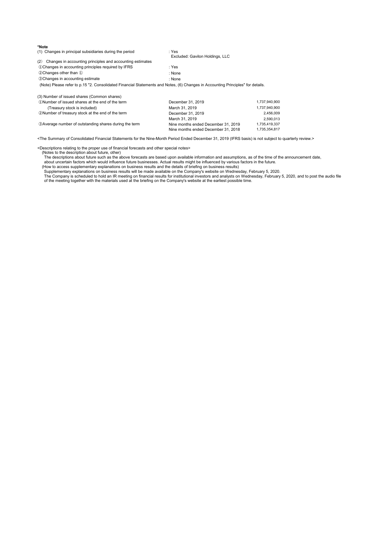| *Note                                                            |                                 |
|------------------------------------------------------------------|---------------------------------|
| (1) Changes in principal subsidiaries during the period          | : Yes                           |
|                                                                  | Excluded: Gavilon Holdings, LLC |
| Changes in accounting principles and accounting estimates<br>(2) |                                 |
| 10 Changes in accounting principles required by IFRS             | : Yes                           |
| 2 Changes other than 1                                           | : None                          |
| <b>3 Changes in accounting estimate</b>                          | : None                          |
|                                                                  |                                 |

(Note) Please refer to p.15 "2. Consolidated Financial Statements and Notes, (6) Changes in Accounting Principles" for details.

| (3) Number of issued shares (Common shares)            |                                     |               |
|--------------------------------------------------------|-------------------------------------|---------------|
| 1. (1) Number of issued shares at the end of the term  | December 31, 2019                   | 1.737.940.900 |
| (Treasury stock is included)                           | March 31, 2019                      | 1,737,940,900 |
| 2 Number of treasury stock at the end of the term      | December 31, 2019                   | 2.456.009     |
|                                                        | March 31, 2019                      | 2.590.013     |
| 3 Average number of outstanding shares during the term | Nine months ended December 31, 2019 | 1.735.419.337 |
|                                                        | Nine months ended December 31, 2018 | 1.735.354.817 |

<The Summary of Consolidated Financial Statements for the Nine-Month Period Ended December 31, 2019 (IFRS basis) is not subject to quarterly review.>

<Descriptions relating to the proper use of financial forecasts and other special notes>

(Notes to the description about future, other) The descriptions about future such as the above forecasts are based upon available information and assumptions, as of the time of the announcement date,

about uncertain factors which would influence future businesses. Actual results might be influenced by various factors in the future.<br>(How to access supplementary explanations on business results and the details of briefin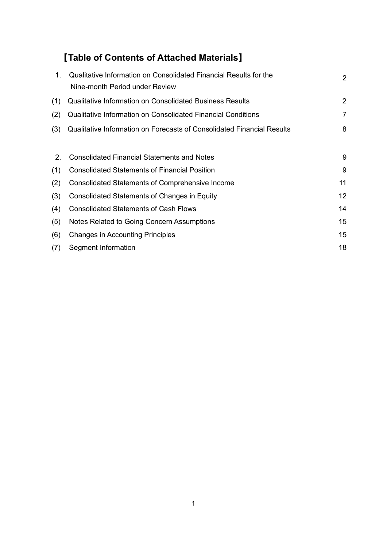## 【**Table of Contents of Attached Materials**】

| $1_{-}$ | Qualitative Information on Consolidated Financial Results for the<br>Nine-month Period under Review | $\overline{2}$ |
|---------|-----------------------------------------------------------------------------------------------------|----------------|
| (1)     | <b>Qualitative Information on Consolidated Business Results</b>                                     | 2              |
| (2)     | <b>Qualitative Information on Consolidated Financial Conditions</b>                                 | 7              |
| (3)     | Qualitative Information on Forecasts of Consolidated Financial Results                              | 8              |
|         |                                                                                                     |                |
| 2.      | <b>Consolidated Financial Statements and Notes</b>                                                  | 9              |
| (1)     | <b>Consolidated Statements of Financial Position</b>                                                | 9              |
| (2)     | <b>Consolidated Statements of Comprehensive Income</b>                                              | 11             |
| (3)     | Consolidated Statements of Changes in Equity                                                        | 12             |
| (4)     | <b>Consolidated Statements of Cash Flows</b>                                                        | 14             |
| (5)     | Notes Related to Going Concern Assumptions                                                          | 15             |
| (6)     | <b>Changes in Accounting Principles</b>                                                             | 15             |
| (7)     | Segment Information                                                                                 | 18             |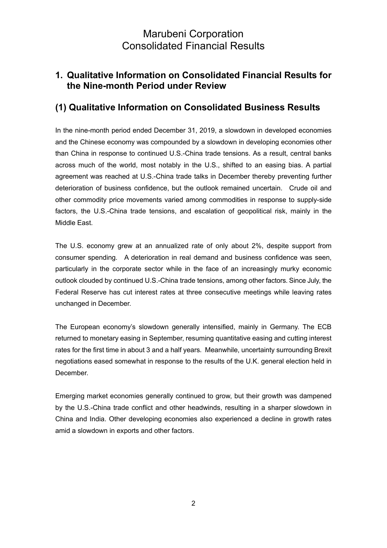### **1. Qualitative Information on Consolidated Financial Results for the Nine-month Period under Review**

### **(1) Qualitative Information on Consolidated Business Results**

In the nine-month period ended December 31, 2019, a slowdown in developed economies and the Chinese economy was compounded by a slowdown in developing economies other than China in response to continued U.S.-China trade tensions. As a result, central banks across much of the world, most notably in the U.S., shifted to an easing bias. A partial agreement was reached at U.S.-China trade talks in December thereby preventing further deterioration of business confidence, but the outlook remained uncertain. Crude oil and other commodity price movements varied among commodities in response to supply-side factors, the U.S.-China trade tensions, and escalation of geopolitical risk, mainly in the Middle East.

The U.S. economy grew at an annualized rate of only about 2%, despite support from consumer spending. A deterioration in real demand and business confidence was seen, particularly in the corporate sector while in the face of an increasingly murky economic outlook clouded by continued U.S.-China trade tensions, among other factors. Since July, the Federal Reserve has cut interest rates at three consecutive meetings while leaving rates unchanged in December.

The European economy's slowdown generally intensified, mainly in Germany. The ECB returned to monetary easing in September, resuming quantitative easing and cutting interest rates for the first time in about 3 and a half years. Meanwhile, uncertainty surrounding Brexit negotiations eased somewhat in response to the results of the U.K. general election held in December.

Emerging market economies generally continued to grow, but their growth was dampened by the U.S.-China trade conflict and other headwinds, resulting in a sharper slowdown in China and India. Other developing economies also experienced a decline in growth rates amid a slowdown in exports and other factors.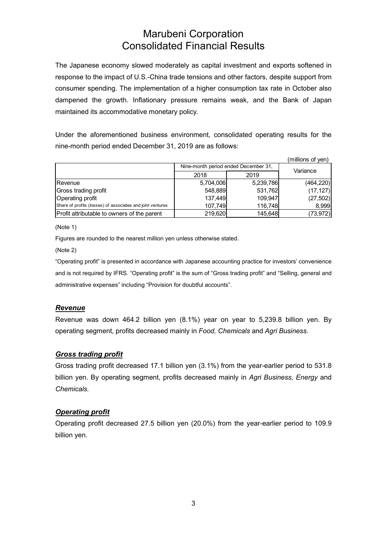The Japanese economy slowed moderately as capital investment and exports softened in response to the impact of U.S.-China trade tensions and other factors, despite support from consumer spending. The implementation of a higher consumption tax rate in October also dampened the growth. Inflationary pressure remains weak, and the Bank of Japan maintained its accommodative monetary policy.

Under the aforementioned business environment, consolidated operating results for the nine-month period ended December 31, 2019 are as follows:

|                                                            |           |                                      | (millions of yen) |  |
|------------------------------------------------------------|-----------|--------------------------------------|-------------------|--|
|                                                            |           | Nine-month period ended December 31, | Variance          |  |
|                                                            | 2018      | 2019                                 |                   |  |
| <b>Revenue</b>                                             | 5,704,006 | 5,239,786                            | (464, 220)        |  |
| Gross trading profit                                       | 548,889   | 531,762                              | (17, 127)         |  |
| Operating profit                                           | 137,449   | 109,947                              | (27, 502)         |  |
| Share of profits (losses) of associates and joint ventures | 107,749   | 116,748                              | 8,999             |  |
| Profit attributable to owners of the parent                | 219,620   | 145,648                              | (73, 972)         |  |

(Note 1)

Figures are rounded to the nearest million yen unless otherwise stated.

(Note 2)

"Operating profit" is presented in accordance with Japanese accounting practice for investors' convenience and is not required by IFRS. "Operating profit" is the sum of "Gross trading profit" and "Selling, general and administrative expenses" including "Provision for doubtful accounts".

#### *Revenue*

Revenue was down 464.2 billion yen (8.1%) year on year to 5,239.8 billion yen. By operating segment, profits decreased mainly in *Food, Chemicals* and *Agri Business.*

#### *Gross trading profit*

Gross trading profit decreased 17.1 billion yen (3.1%) from the year-earlier period to 531.8 billion yen. By operating segment, profits decreased mainly in *Agri Business, Energy* and *Chemicals.* 

#### *Operating profit*

Operating profit decreased 27.5 billion yen (20.0%) from the year-earlier period to 109.9 billion yen.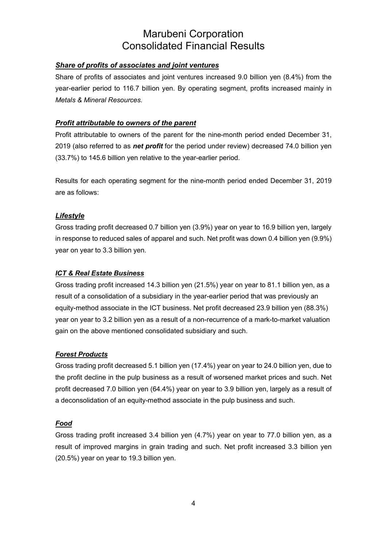### *Share of profits of associates and joint ventures*

Share of profits of associates and joint ventures increased 9.0 billion yen (8.4%) from the year-earlier period to 116.7 billion yen. By operating segment, profits increased mainly in *Metals & Mineral Resources.* 

### *Profit attributable to owners of the parent*

Profit attributable to owners of the parent for the nine-month period ended December 31, 2019 (also referred to as *net profit* for the period under review) decreased 74.0 billion yen (33.7%) to 145.6 billion yen relative to the year-earlier period.

Results for each operating segment for the nine-month period ended December 31, 2019 are as follows:

### *Lifestyle*

Gross trading profit decreased 0.7 billion yen (3.9%) year on year to 16.9 billion yen, largely in response to reduced sales of apparel and such. Net profit was down 0.4 billion yen (9.9%) year on year to 3.3 billion yen.

#### *ICT & Real Estate Business*

Gross trading profit increased 14.3 billion yen (21.5%) year on year to 81.1 billion yen, as a result of a consolidation of a subsidiary in the year-earlier period that was previously an equity-method associate in the ICT business. Net profit decreased 23.9 billion yen (88.3%) year on year to 3.2 billion yen as a result of a non-recurrence of a mark-to-market valuation gain on the above mentioned consolidated subsidiary and such.

#### *Forest Products*

Gross trading profit decreased 5.1 billion yen (17.4%) year on year to 24.0 billion yen, due to the profit decline in the pulp business as a result of worsened market prices and such. Net profit decreased 7.0 billion yen (64.4%) year on year to 3.9 billion yen, largely as a result of a deconsolidation of an equity-method associate in the pulp business and such.

#### *Food*

Gross trading profit increased 3.4 billion yen (4.7%) year on year to 77.0 billion yen, as a result of improved margins in grain trading and such. Net profit increased 3.3 billion yen (20.5%) year on year to 19.3 billion yen.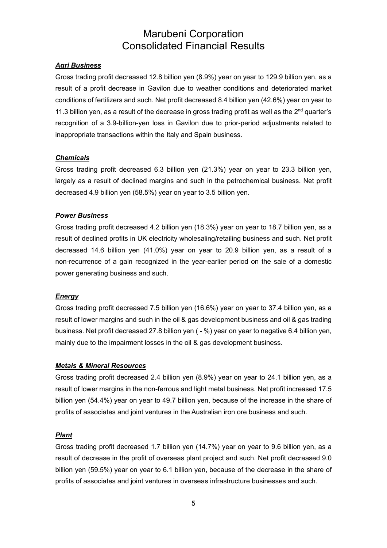#### *Agri Business*

Gross trading profit decreased 12.8 billion yen (8.9%) year on year to 129.9 billion yen, as a result of a profit decrease in Gavilon due to weather conditions and deteriorated market conditions of fertilizers and such. Net profit decreased 8.4 billion yen (42.6%) year on year to 11.3 billion yen, as a result of the decrease in gross trading profit as well as the  $2<sup>nd</sup>$  quarter's recognition of a 3.9-billion-yen loss in Gavilon due to prior-period adjustments related to inappropriate transactions within the Italy and Spain business.

#### *Chemicals*

Gross trading profit decreased 6.3 billion yen (21.3%) year on year to 23.3 billion yen, largely as a result of declined margins and such in the petrochemical business. Net profit decreased 4.9 billion yen (58.5%) year on year to 3.5 billion yen.

#### *Power Business*

Gross trading profit decreased 4.2 billion yen (18.3%) year on year to 18.7 billion yen, as a result of declined profits in UK electricity wholesaling/retailing business and such. Net profit decreased 14.6 billion yen (41.0%) year on year to 20.9 billion yen, as a result of a non-recurrence of a gain recognized in the year-earlier period on the sale of a domestic power generating business and such.

#### *Energy*

Gross trading profit decreased 7.5 billion yen (16.6%) year on year to 37.4 billion yen, as a result of lower margins and such in the oil & gas development business and oil & gas trading business. Net profit decreased 27.8 billion yen ( - %) year on year to negative 6.4 billion yen, mainly due to the impairment losses in the oil & gas development business.

#### *Metals & Mineral Resources*

Gross trading profit decreased 2.4 billion yen (8.9%) year on year to 24.1 billion yen, as a result of lower margins in the non-ferrous and light metal business. Net profit increased 17.5 billion yen (54.4%) year on year to 49.7 billion yen, because of the increase in the share of profits of associates and joint ventures in the Australian iron ore business and such.

#### *Plant*

Gross trading profit decreased 1.7 billion yen (14.7%) year on year to 9.6 billion yen, as a result of decrease in the profit of overseas plant project and such. Net profit decreased 9.0 billion yen (59.5%) year on year to 6.1 billion yen, because of the decrease in the share of profits of associates and joint ventures in overseas infrastructure businesses and such.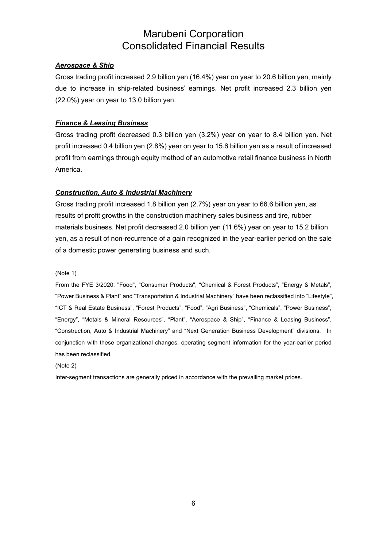#### *Aerospace & Ship*

Gross trading profit increased 2.9 billion yen (16.4%) year on year to 20.6 billion yen, mainly due to increase in ship-related business' earnings. Net profit increased 2.3 billion yen (22.0%) year on year to 13.0 billion yen.

### *Finance & Leasing Business*

Gross trading profit decreased 0.3 billion yen (3.2%) year on year to 8.4 billion yen. Net profit increased 0.4 billion yen (2.8%) year on year to 15.6 billion yen as a result of increased profit from earnings through equity method of an automotive retail finance business in North America.

#### *Construction, Auto & Industrial Machinery*

Gross trading profit increased 1.8 billion yen (2.7%) year on year to 66.6 billion yen, as results of profit growths in the construction machinery sales business and tire, rubber materials business. Net profit decreased 2.0 billion yen (11.6%) year on year to 15.2 billion yen, as a result of non-recurrence of a gain recognized in the year-earlier period on the sale of a domestic power generating business and such.

(Note 1)

From the FYE 3/2020, "Food", "Consumer Products", "Chemical & Forest Products", "Energy & Metals", "Power Business & Plant" and "Transportation & Industrial Machinery" have been reclassified into "Lifestyle", "ICT & Real Estate Business", "Forest Products", "Food", "Agri Business", "Chemicals", "Power Business", "Energy", "Metals & Mineral Resources", "Plant", "Aerospace & Ship", "Finance & Leasing Business", "Construction, Auto & Industrial Machinery" and "Next Generation Business Development" divisions. In conjunction with these organizational changes, operating segment information for the year-earlier period has been reclassified.

(Note 2)

Inter-segment transactions are generally priced in accordance with the prevailing market prices.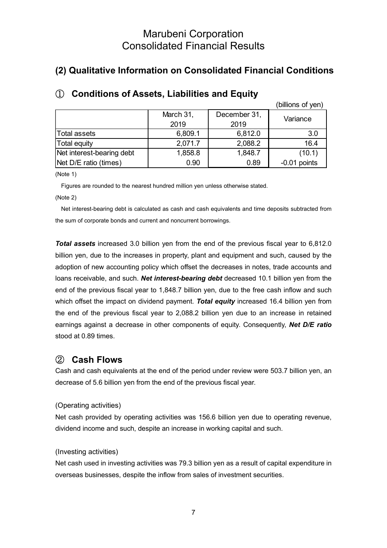### **(2) Qualitative Information on Consolidated Financial Conditions**

|                           |           |              | (billions of yen) |  |
|---------------------------|-----------|--------------|-------------------|--|
|                           | March 31, | December 31, | Variance          |  |
|                           | 2019      | 2019         |                   |  |
| Total assets              | 6,809.1   | 6,812.0      | 3.0               |  |
| <b>Total equity</b>       | 2,071.7   | 2,088.2      | 16.4              |  |
| Net interest-bearing debt | 1,858.8   | 1,848.7      | (10.1)            |  |
| Net D/E ratio (times)     | 0.90      | 0.89         | $-0.01$ points    |  |

### ① **Conditions of Assets, Liabilities and Equity**

(Note 1)

Figures are rounded to the nearest hundred million yen unless otherwise stated.

(Note 2)

Net interest-bearing debt is calculated as cash and cash equivalents and time deposits subtracted from the sum of corporate bonds and current and noncurrent borrowings.

*Total assets* increased 3.0 billion yen from the end of the previous fiscal year to 6,812.0 billion yen, due to the increases in property, plant and equipment and such, caused by the adoption of new accounting policy which offset the decreases in notes, trade accounts and loans receivable, and such. *Net interest-bearing debt* decreased 10.1 billion yen from the end of the previous fiscal year to 1,848.7 billion yen, due to the free cash inflow and such which offset the impact on dividend payment. *Total equity* increased 16.4 billion yen from the end of the previous fiscal year to 2,088.2 billion yen due to an increase in retained earnings against a decrease in other components of equity. Consequently, *Net D/E ratio* stood at 0.89 times.

### ② **Cash Flows**

Cash and cash equivalents at the end of the period under review were 503.7 billion yen, an decrease of 5.6 billion yen from the end of the previous fiscal year.

### (Operating activities)

Net cash provided by operating activities was 156.6 billion yen due to operating revenue, dividend income and such, despite an increase in working capital and such.

#### (Investing activities)

Net cash used in investing activities was 79.3 billion yen as a result of capital expenditure in overseas businesses, despite the inflow from sales of investment securities.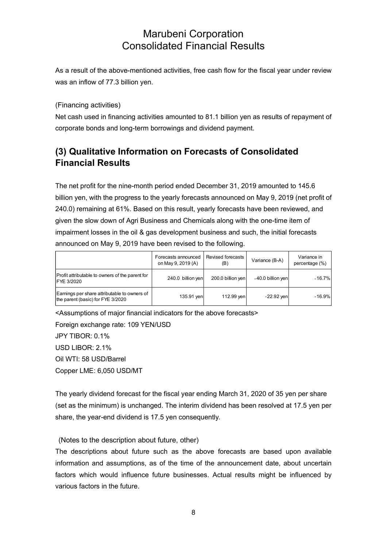As a result of the above-mentioned activities, free cash flow for the fiscal year under review was an inflow of 77.3 billion yen.

(Financing activities)

Net cash used in financing activities amounted to 81.1 billion yen as results of repayment of corporate bonds and long-term borrowings and dividend payment.

### **(3) Qualitative Information on Forecasts of Consolidated Financial Results**

The net profit for the nine-month period ended December 31, 2019 amounted to 145.6 billion yen, with the progress to the yearly forecasts announced on May 9, 2019 (net profit of 240.0) remaining at 61%. Based on this result, yearly forecasts have been reviewed, and given the slow down of Agri Business and Chemicals along with the one-time item of impairment losses in the oil & gas development business and such, the initial forecasts announced on May 9, 2019 have been revised to the following.

|                                                                                   | Forecasts announced<br>on May 9, 2019 (A) | Revised forecasts<br>(B) | Variance (B-A)    | Variance in<br>percentage (%) |
|-----------------------------------------------------------------------------------|-------------------------------------------|--------------------------|-------------------|-------------------------------|
| Profit attributable to owners of the parent for<br><b>IFYE 3/2020</b>             | 240.0 billion yen                         | 200.0 billion yen        | -40.0 billion yen | $-16.7\%$                     |
| Earnings per share attributable to owners of<br>the parent (basic) for FYE 3/2020 | 135.91 yen                                | 112.99 yen               | $-22.92$ ven      | $-16.9\%$                     |

<Assumptions of major financial indicators for the above forecasts>

Foreign exchange rate: 109 YEN/USD JPY TIBOR: 0.1%  $USD IIBOR: 2.1%$ Oil WTI: 58 USD/Barrel Copper LME: 6,050 USD/MT

The yearly dividend forecast for the fiscal year ending March 31, 2020 of 35 yen per share (set as the minimum) is unchanged. The interim dividend has been resolved at 17.5 yen per share, the year-end dividend is 17.5 yen consequently.

(Notes to the description about future, other)

The descriptions about future such as the above forecasts are based upon available information and assumptions, as of the time of the announcement date, about uncertain factors which would influence future businesses. Actual results might be influenced by various factors in the future.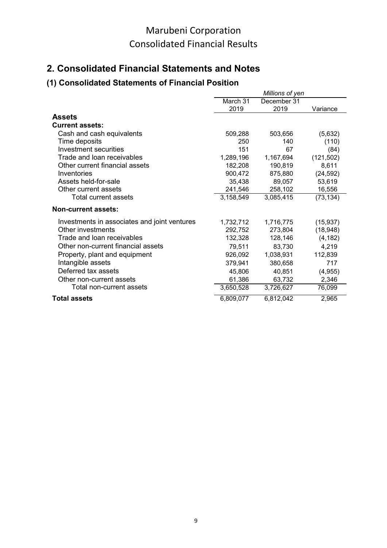### **2. Consolidated Financial Statements and Notes**

### **(1) Consolidated Statements of Financial Position**

|                                              |           | Millions of yen |            |
|----------------------------------------------|-----------|-----------------|------------|
|                                              | March 31  | December 31     |            |
|                                              | 2019      | 2019            | Variance   |
| <b>Assets</b>                                |           |                 |            |
| <b>Current assets:</b>                       |           |                 |            |
| Cash and cash equivalents                    | 509,288   | 503,656         | (5,632)    |
| Time deposits                                | 250       | 140             | (110)      |
| Investment securities                        | 151       | 67              | (84)       |
| Trade and loan receivables                   | 1,289,196 | 1,167,694       | (121, 502) |
| Other current financial assets               | 182,208   | 190,819         | 8,611      |
| Inventories                                  | 900,472   | 875,880         | (24, 592)  |
| Assets held-for-sale                         | 35,438    | 89,057          | 53,619     |
| Other current assets                         | 241,546   | 258,102         | 16,556     |
| Total current assets                         | 3,158,549 | 3,085,415       | (73, 134)  |
| <b>Non-current assets:</b>                   |           |                 |            |
| Investments in associates and joint ventures | 1,732,712 | 1,716,775       | (15, 937)  |
| Other investments                            | 292,752   | 273,804         | (18, 948)  |
| Trade and loan receivables                   | 132,328   | 128,146         | (4, 182)   |
| Other non-current financial assets           | 79,511    | 83,730          | 4,219      |
| Property, plant and equipment                | 926,092   | 1,038,931       | 112,839    |
| Intangible assets                            | 379,941   | 380,658         | 717        |
| Deferred tax assets                          | 45,806    | 40,851          | (4, 955)   |
| Other non-current assets                     | 61,386    | 63,732          | 2,346      |
| Total non-current assets                     | 3,650,528 | 3,726,627       | 76,099     |
| <b>Total assets</b>                          | 6,809,077 | 6,812,042       | 2,965      |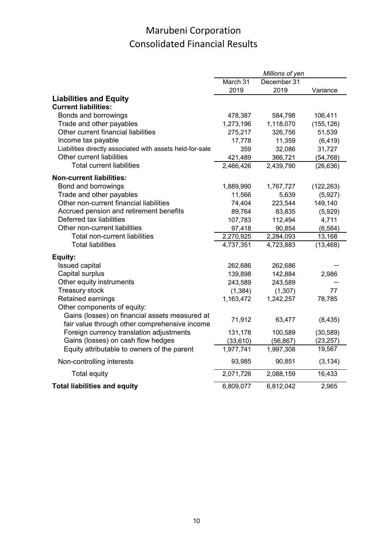|                                                                                        |                      | Millions of yen      |                        |
|----------------------------------------------------------------------------------------|----------------------|----------------------|------------------------|
|                                                                                        | March 31             | December 31          |                        |
|                                                                                        | 2019                 | 2019                 | Variance               |
| <b>Liabilities and Equity</b><br><b>Current liabilities:</b>                           |                      |                      |                        |
|                                                                                        |                      |                      |                        |
| Bonds and borrowings                                                                   | 478,387              | 584,798              | 106,411                |
| Trade and other payables<br>Other current financial liabilities                        | 1,273,196            | 1,118,070            | (155, 126)             |
|                                                                                        | 275,217              | 326,756              | 51,539                 |
| Income tax payable                                                                     | 17,778<br>359        | 11,359               | (6, 419)               |
| Liabilities directly associated with assets held-for-sale<br>Other current liabilities |                      | 32,086               | 31,727                 |
| <b>Total current liabilities</b>                                                       | 421,489<br>2,466,426 | 366,721<br>2,439,790 | (54, 768)<br>(26, 636) |
|                                                                                        |                      |                      |                        |
| <b>Non-current liabilities:</b>                                                        |                      |                      |                        |
| Bond and borrowings                                                                    | 1,889,990            | 1,767,727            | (122, 263)             |
| Trade and other payables                                                               | 11,566               | 5,639                | (5,927)                |
| Other non-current financial liabilities                                                | 74,404               | 223,544              | 149,140                |
| Accrued pension and retirement benefits                                                | 89,764               | 83,835               | (5,929)                |
| Deferred tax liabilities                                                               | 107,783              | 112,494              | 4,711                  |
| Other non-current liabilities                                                          | 97,418               | 90,854               | (6, 564)               |
| <b>Total non-current liabilities</b>                                                   | 2,270,925            | 2,284,093            | 13,168                 |
| <b>Total liabilities</b>                                                               | 4,737,351            | 4,723,883            | (13, 468)              |
| Equity:                                                                                |                      |                      |                        |
| Issued capital                                                                         | 262,686              | 262,686              |                        |
| Capital surplus                                                                        | 139,898              | 142,884              | 2,986                  |
| Other equity instruments                                                               | 243,589              | 243,589              |                        |
| <b>Treasury stock</b>                                                                  | (1, 384)             | (1,307)              | 77                     |
| Retained earnings                                                                      | 1,163,472            | 1,242,257            | 78,785                 |
| Other components of equity:                                                            |                      |                      |                        |
| Gains (losses) on financial assets measured at                                         | 71,912               | 63,477               | (8, 435)               |
| fair value through other comprehensive income                                          |                      |                      |                        |
| Foreign currency translation adjustments                                               | 131,178              | 100,589              | (30, 589)              |
| Gains (losses) on cash flow hedges                                                     | (33, 610)            | (56, 867)            | (23, 257)              |
| Equity attributable to owners of the parent                                            | 1,977,741            | 1,997,308            | 19,567                 |
| Non-controlling interests                                                              | 93,985               | 90,851               | (3, 134)               |
| <b>Total equity</b>                                                                    | 2,071,726            | 2,088,159            | 16,433                 |
| <b>Total liabilities and equity</b>                                                    | 6,809,077            | 6,812,042            | 2,965                  |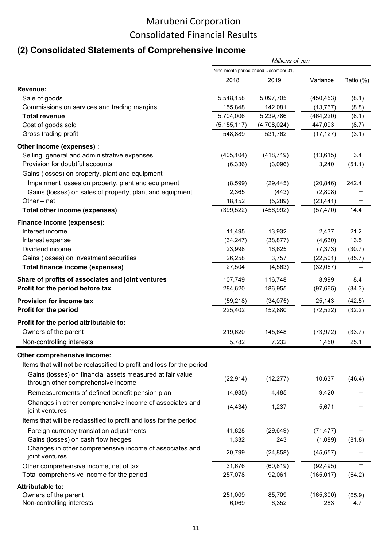### **(2) Consolidated Statements of Comprehensive Income**

|                                                                       |                                      | Millions of yen |            |           |
|-----------------------------------------------------------------------|--------------------------------------|-----------------|------------|-----------|
|                                                                       | Nine-month period ended December 31, |                 |            |           |
|                                                                       | 2018                                 | 2019            | Variance   | Ratio (%) |
| Revenue:                                                              |                                      |                 |            |           |
| Sale of goods                                                         | 5,548,158                            | 5,097,705       | (450, 453) | (8.1)     |
| Commissions on services and trading margins                           | 155,848                              | 142,081         | (13, 767)  | (8.8)     |
| <b>Total revenue</b>                                                  | 5,704,006                            | 5,239,786       | (464, 220) | (8.1)     |
| Cost of goods sold                                                    | (5, 155, 117)                        | (4,708,024)     | 447,093    | (8.7)     |
| Gross trading profit                                                  | 548,889                              | 531,762         | (17, 127)  | (3.1)     |
| Other income (expenses) :                                             |                                      |                 |            |           |
| Selling, general and administrative expenses                          | (405, 104)                           | (418, 719)      | (13, 615)  | 3.4       |
| Provision for doubtful accounts                                       | (6, 336)                             | (3,096)         | 3,240      | (51.1)    |
| Gains (losses) on property, plant and equipment                       |                                      |                 |            |           |
| Impairment losses on property, plant and equipment                    | (8,599)                              | (29, 445)       | (20, 846)  | 242.4     |
| Gains (losses) on sales of property, plant and equipment              | 2,365                                | (443)           | (2,808)    |           |
| Other $-$ net                                                         | 18,152                               | (5,289)         | (23, 441)  |           |
| Total other income (expenses)                                         | (399, 522)                           | (456, 992)      | (57, 470)  | 14.4      |
|                                                                       |                                      |                 |            |           |
| Finance income (expenses):                                            |                                      |                 |            |           |
| Interest income                                                       | 11,495                               | 13,932          | 2,437      | 21.2      |
| Interest expense                                                      | (34, 247)                            | (38, 877)       | (4,630)    | 13.5      |
| Dividend income                                                       | 23,998                               | 16,625          | (7, 373)   | (30.7)    |
| Gains (losses) on investment securities                               | 26,258                               | 3,757           | (22, 501)  | (85.7)    |
| <b>Total finance income (expenses)</b>                                | 27,504                               | (4, 563)        | (32,067)   |           |
| Share of profits of associates and joint ventures                     | 107,749                              | 116,748         | 8,999      | 8.4       |
| Profit for the period before tax                                      | 284,620                              | 186,955         | (97,665)   | (34.3)    |
| Provision for income tax                                              | (59, 218)                            | (34,075)        | 25,143     | (42.5)    |
| Profit for the period                                                 | 225,402                              | 152,880         | (72, 522)  | (32.2)    |
| Profit for the period attributable to:                                |                                      |                 |            |           |
| Owners of the parent                                                  | 219,620                              | 145,648         | (73, 972)  | (33.7)    |
|                                                                       |                                      |                 |            |           |
| Non-controlling interests                                             | 5,782                                | 7,232           | 1,450      | 25.1      |
| Other comprehensive income:                                           |                                      |                 |            |           |
| Items that will not be reclassified to profit and loss for the period |                                      |                 |            |           |
| Gains (losses) on financial assets measured at fair value             | (22, 914)                            | (12, 277)       | 10,637     | (46.4)    |
| through other comprehensive income                                    |                                      |                 |            |           |
| Remeasurements of defined benefit pension plan                        | (4,935)                              | 4,485           | 9,420      |           |
| Changes in other comprehensive income of associates and               |                                      |                 |            |           |
| joint ventures                                                        | (4, 434)                             | 1,237           | 5,671      |           |
| Items that will be reclassified to profit and loss for the period     |                                      |                 |            |           |
| Foreign currency translation adjustments                              | 41,828                               | (29, 649)       | (71, 477)  |           |
| Gains (losses) on cash flow hedges                                    | 1,332                                | 243             | (1,089)    | (81.8)    |
| Changes in other comprehensive income of associates and               |                                      |                 |            |           |
| joint ventures                                                        | 20,799                               | (24, 858)       | (45, 657)  |           |
| Other comprehensive income, net of tax                                | 31,676                               | (60, 819)       | (92, 495)  |           |
| Total comprehensive income for the period                             | 257,078                              | 92,061          | (165, 017) | (64.2)    |
| <b>Attributable to:</b>                                               |                                      |                 |            |           |
| Owners of the parent                                                  | 251,009                              | 85,709          | (165, 300) | (65.9)    |
| Non-controlling interests                                             | 6,069                                | 6,352           | 283        | 4.7       |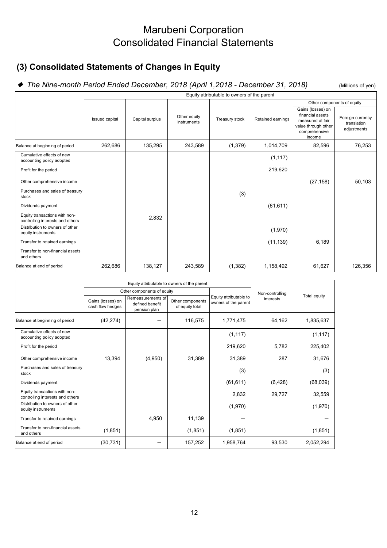### Marubeni Corporation Consolidated Financial Statements

### **(3) Consolidated Statements of Changes in Equity**

### ◆ The Nine-month Period Ended December, 2018 (April 1,2018 - December 31, 2018) (Millions of yen)

Gains (losses) on financial assets measured at fair value through other comprehensive income Foreign currency translation adiustments Balance at beginning of period 262,686 135,295 243,589 (1,379) 1,014,709 82,596 76,253 Cumulative effects of new Cumulative effects of new (1,117)<br>accounting policy adopted (1,117) Profit for the period and the period and the control of the period and the control of the control of the control of the control of the control of the control of the control of the control of the control of the control of t Other comprehensive income (27,158) 50,103 Purchases and sales of treasury stock (3) Dividends payment (61,611) (61,611) Equity transactions with non-Equity transactions with non-<br>
controlling interests and others  $\begin{array}{|l|l|}\n\hline\n\end{array}$  2,832 Distribution to owners of other equity instruments of other determines of other determines of the control of the control of the control of the control of the control of the control of the control of the control of the control of the control of the contro Transfer to retained earnings and the control of the control of the control of the control of the control of the control of the control of the control of the control of the control of the control of the control of the cont Transfer to non-financial assets and others Balance at end of period | 262,686 | 138,127 | 243,589 | (1,382) | 1,158,492 | 61,627 | 126,356 Equity attributable to owners of the parent Issued capital Capital surplus Other equity Treasury stock Retained earnings Other components of equity

|                                                                   |                                       | Equity attributable to owners of the parent          |                                     |                                                |                 |              |  |
|-------------------------------------------------------------------|---------------------------------------|------------------------------------------------------|-------------------------------------|------------------------------------------------|-----------------|--------------|--|
|                                                                   |                                       | Other components of equity                           |                                     |                                                | Non-controlling | Total equity |  |
|                                                                   | Gains (losses) on<br>cash flow hedges | Remeasurements of<br>defined benefit<br>pension plan | Other components<br>of equity total | Equity attributable to<br>owners of the parent | interests       |              |  |
| Balance at beginning of period                                    | (42, 274)                             |                                                      | 116,575                             | 1,771,475                                      | 64,162          | 1,835,637    |  |
| Cumulative effects of new<br>accounting policy adopted            |                                       |                                                      |                                     | (1, 117)                                       |                 | (1, 117)     |  |
| Profit for the period                                             |                                       |                                                      |                                     | 219,620                                        | 5,782           | 225,402      |  |
| Other comprehensive income                                        | 13,394                                | (4,950)                                              | 31,389                              | 31,389                                         | 287             | 31,676       |  |
| Purchases and sales of treasury<br>stock                          |                                       |                                                      |                                     | (3)                                            |                 | (3)          |  |
| Dividends payment                                                 |                                       |                                                      |                                     | (61, 611)                                      | (6, 428)        | (68,039)     |  |
| Equity transactions with non-<br>controlling interests and others |                                       |                                                      |                                     | 2,832                                          | 29,727          | 32,559       |  |
| Distribution to owners of other<br>equity instruments             |                                       |                                                      |                                     | (1,970)                                        |                 | (1,970)      |  |
| Transfer to retained earnings                                     |                                       | 4,950                                                | 11,139                              |                                                |                 |              |  |
| Transfer to non-financial assets<br>and others                    | (1, 851)                              |                                                      | (1, 851)                            | (1,851)                                        |                 | (1, 851)     |  |
| Balance at end of period                                          | (30, 731)                             |                                                      | 157,252                             | 1,958,764                                      | 93,530          | 2,052,294    |  |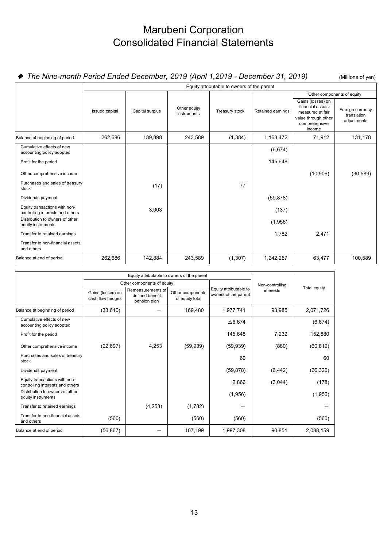## Marubeni Corporation Consolidated Financial Statements

### ◆ The Nine-month Period Ended December, 2019 (April 1,2019 - December 31, 2019) (Millions of yen)

|                                                                   | Equity attributable to owners of the parent |                 |                             |                |                   |                                                                                                             |                                                |  |  |
|-------------------------------------------------------------------|---------------------------------------------|-----------------|-----------------------------|----------------|-------------------|-------------------------------------------------------------------------------------------------------------|------------------------------------------------|--|--|
|                                                                   |                                             |                 |                             |                |                   |                                                                                                             | Other components of equity                     |  |  |
|                                                                   | Issued capital                              | Capital surplus | Other equity<br>instruments | Treasury stock | Retained earnings | Gains (losses) on<br>financial assets<br>measured at fair<br>value through other<br>comprehensive<br>income | Foreign currency<br>translation<br>adjustments |  |  |
| Balance at beginning of period                                    | 262,686                                     | 139,898         | 243,589                     | (1, 384)       | 1,163,472         | 71,912                                                                                                      | 131,178                                        |  |  |
| Cumulative effects of new<br>accounting policy adopted            |                                             |                 |                             |                | (6,674)           |                                                                                                             |                                                |  |  |
| Profit for the period                                             |                                             |                 |                             |                | 145,648           |                                                                                                             |                                                |  |  |
| Other comprehensive income                                        |                                             |                 |                             |                |                   | (10, 906)                                                                                                   | (30, 589)                                      |  |  |
| Purchases and sales of treasury<br>stock                          |                                             | (17)            |                             | 77             |                   |                                                                                                             |                                                |  |  |
| Dividends payment                                                 |                                             |                 |                             |                | (59, 878)         |                                                                                                             |                                                |  |  |
| Equity transactions with non-<br>controlling interests and others |                                             | 3,003           |                             |                | (137)             |                                                                                                             |                                                |  |  |
| Distribution to owners of other<br>equity instruments             |                                             |                 |                             |                | (1,956)           |                                                                                                             |                                                |  |  |
| Transfer to retained earnings                                     |                                             |                 |                             |                | 1,782             | 2,471                                                                                                       |                                                |  |  |
| Transfer to non-financial assets<br>and others                    |                                             |                 |                             |                |                   |                                                                                                             |                                                |  |  |
| Balance at end of period                                          | 262,686                                     | 142,884         | 243,589                     | (1, 307)       | 1,242,257         | 63,477                                                                                                      | 100,589                                        |  |  |

|                                                                   |                                       | Equity attributable to owners of the parent          |                                     |                                                |                 |              |  |
|-------------------------------------------------------------------|---------------------------------------|------------------------------------------------------|-------------------------------------|------------------------------------------------|-----------------|--------------|--|
|                                                                   |                                       | Other components of equity                           |                                     |                                                | Non-controlling |              |  |
|                                                                   | Gains (losses) on<br>cash flow hedges | Remeasurements of<br>defined benefit<br>pension plan | Other components<br>of equity total | Equity attributable to<br>owners of the parent | interests       | Total equity |  |
| Balance at beginning of period                                    | (33, 610)                             |                                                      | 169,480                             | 1,977,741                                      | 93,985          | 2,071,726    |  |
| Cumulative effects of new<br>accounting policy adopted            |                                       |                                                      |                                     | $\triangle$ 6,674                              |                 | (6,674)      |  |
| Profit for the period                                             |                                       |                                                      |                                     | 145,648                                        | 7,232           | 152,880      |  |
| Other comprehensive income                                        | (22, 697)                             | 4,253                                                | (59, 939)                           | (59, 939)                                      | (880)           | (60, 819)    |  |
| Purchases and sales of treasury<br>stock                          |                                       |                                                      |                                     | 60                                             |                 | 60           |  |
| Dividends payment                                                 |                                       |                                                      |                                     | (59, 878)                                      | (6, 442)        | (66, 320)    |  |
| Equity transactions with non-<br>controlling interests and others |                                       |                                                      |                                     | 2,866                                          | (3,044)         | (178)        |  |
| Distribution to owners of other<br>equity instruments             |                                       |                                                      |                                     | (1,956)                                        |                 | (1,956)      |  |
| Transfer to retained earnings                                     |                                       | (4, 253)                                             | (1,782)                             |                                                |                 |              |  |
| Transfer to non-financial assets<br>and others                    | (560)                                 |                                                      | (560)                               | (560)                                          |                 | (560)        |  |
| Balance at end of period                                          | (56, 867)                             |                                                      | 107,199                             | 1,997,308                                      | 90,851          | 2,088,159    |  |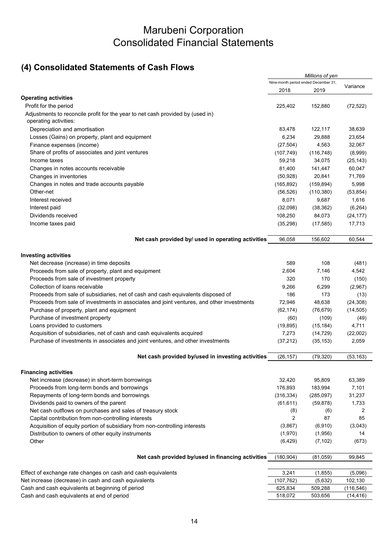### Marubeni Corporation Consolidated Financial Statements

### **(4) Consolidated Statements of Cash Flows**

|                                                                                                         |                                      | Millions of yen |            |
|---------------------------------------------------------------------------------------------------------|--------------------------------------|-----------------|------------|
|                                                                                                         | Nine-month period ended December 31, |                 | Variance   |
|                                                                                                         | 2018                                 | 2019            |            |
| <b>Operating activities</b>                                                                             |                                      |                 |            |
| Profit for the period                                                                                   | 225,402                              | 152,880         | (72, 522)  |
| Adjustments to reconcile profit for the year to net cash provided by (used in)<br>operating activities: |                                      |                 |            |
| Depreciation and amortisation                                                                           | 83,478                               | 122,117         | 38,639     |
| Losses (Gains) on property, plant and equipment                                                         | 6,234                                | 29,888          | 23,654     |
| Finance expenses (income)                                                                               | (27, 504)                            | 4,563           | 32,067     |
| Share of profits of associates and joint ventures                                                       | (107, 749)                           | (116, 748)      | (8,999)    |
| Income taxes                                                                                            | 59,218                               | 34,075          | (25, 143)  |
| Changes in notes accounts receivable                                                                    | 81,400                               | 141,447         | 60,047     |
| Changes in inventories                                                                                  | (50, 928)                            | 20,841          | 71,769     |
| Changes in notes and trade accounts payable                                                             | (165, 892)                           | (159, 894)      | 5,998      |
| Other-net                                                                                               | (56, 526)                            | (110, 380)      | (53, 854)  |
| Interest received                                                                                       | 8,071                                | 9,687           | 1,616      |
| Interest paid                                                                                           | (32,098)                             | (38, 362)       | (6, 264)   |
| Dividends received                                                                                      | 108,250                              | 84,073          | (24, 177)  |
| Income taxes paid                                                                                       | (35, 298)                            | (17, 585)       | 17,713     |
|                                                                                                         |                                      |                 |            |
| Net cash provided by/ used in operating activities                                                      | 96,058                               | 156,602         | 60,544     |
| <b>Investing activities</b>                                                                             |                                      |                 |            |
| Net decrease (increase) in time deposits                                                                | 589                                  | 108             | (481)      |
| Proceeds from sale of property, plant and equipment                                                     | 2,604                                | 7,146           | 4,542      |
| Proceeds from sale of investment property                                                               | 320                                  | 170             | (150)      |
| Collection of loans receivable                                                                          | 9,266                                | 6,299           | (2,967)    |
| Proceeds from sale of subsidiaries, net of cash and cash equivalents disposed of                        | 186                                  | 173             | (13)       |
| Proceeds from sale of investments in associates and joint ventures, and other investments               | 72,946                               | 48,638          | (24, 308)  |
| Purchase of property, plant and equipment                                                               | (62, 174)                            | (76, 679)       | (14, 505)  |
| Purchase of investment property                                                                         | (60)                                 | (109)           | (49)       |
| Loans provided to customers                                                                             | (19, 895)                            | (15, 184)       | 4,711      |
| Acquisition of subsidiaries, net of cash and cash equivalents acquired                                  | 7,273                                | (14, 729)       | (22,002)   |
| Purchase of investments in associates and joint ventures, and other investments                         | (37, 212)                            | (35, 153)       | 2,059      |
| Net cash provided by/used in investing activities                                                       | (26, 157)                            | (79, 320)       | (53, 163)  |
| <b>Financing activities</b>                                                                             |                                      |                 |            |
| Net increase (decrease) in short-term borrowings                                                        | 32,420                               | 95,809          | 63,389     |
| Proceeds from long-term bonds and borrowings                                                            | 176,893                              | 183,994         | 7,101      |
| Repayments of long-term bonds and borrowings                                                            | (316, 334)                           | (285,097)       | 31,237     |
| Dividends paid to owners of the parent                                                                  | (61, 611)                            | (59, 878)       | 1,733      |
| Net cash outflows on purchases and sales of treasury stock                                              | (8)                                  | (6)             | 2          |
| Capital contribution from non-controlling interests                                                     | $\overline{2}$                       | 87              | 85         |
| Acquisition of equity portion of subsidiary from non-controlling interests                              | (3,867)                              | (6,910)         | (3,043)    |
| Distribution to owners of other equity instruments                                                      | (1,970)                              | (1,956)         | 14         |
| Other                                                                                                   | (6, 429)                             | (7, 102)        | (673)      |
| Net cash provided by/used in financing activities                                                       | (180, 904)                           | (81, 059)       | 99,845     |
|                                                                                                         |                                      |                 |            |
| Effect of exchange rate changes on cash and cash equivalents                                            | 3,241                                | (1,855)         | (5,096)    |
| Net increase (decrease) in cash and cash equivalents                                                    | (107, 762)                           | (5,632)         | 102,130    |
| Cash and cash equivalents at beginning of period                                                        | 625,834                              | 509,288         | (116, 546) |
| Cash and cash equivalents at end of period                                                              | 518,072                              | 503,656         | (14, 416)  |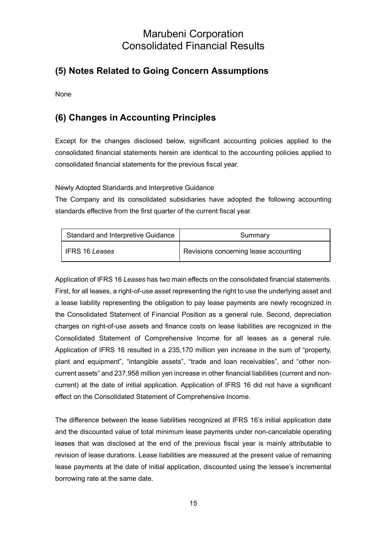### **(5) Notes Related to Going Concern Assumptions**

None

### **(6) Changes in Accounting Principles**

Except for the changes disclosed below, significant accounting policies applied to the consolidated financial statements herein are identical to the accounting policies applied to consolidated financial statements for the previous fiscal year.

Newly Adopted Standards and Interpretive Guidance

The Company and its consolidated subsidiaries have adopted the following accounting standards effective from the first quarter of the current fiscal year.

| Standard and Interpretive Guidance | Summary                               |
|------------------------------------|---------------------------------------|
| l IFRS 16 <i>Leases</i>            | Revisions concerning lease accounting |

Application of IFRS 16 *Leases* has two main effects on the consolidated financial statements. First, for all leases, a right-of-use asset representing the right to use the underlying asset and a lease liability representing the obligation to pay lease payments are newly recognized in the Consolidated Statement of Financial Position as a general rule. Second, depreciation charges on right-of-use assets and finance costs on lease liabilities are recognized in the Consolidated Statement of Comprehensive Income for all leases as a general rule. Application of IFRS 16 resulted in a 235,170 million yen increase in the sum of "property, plant and equipment", "intangible assets", "trade and loan receivables", and "other noncurrent assets" and 237,958 million yen increase in other financial liabilities (current and noncurrent) at the date of initial application. Application of IFRS 16 did not have a significant effect on the Consolidated Statement of Comprehensive Income.

The difference between the lease liabilities recognized at IFRS 16's initial application date and the discounted value of total minimum lease payments under non-cancelable operating leases that was disclosed at the end of the previous fiscal year is mainly attributable to revision of lease durations. Lease liabilities are measured at the present value of remaining lease payments at the date of initial application, discounted using the lessee's incremental borrowing rate at the same date.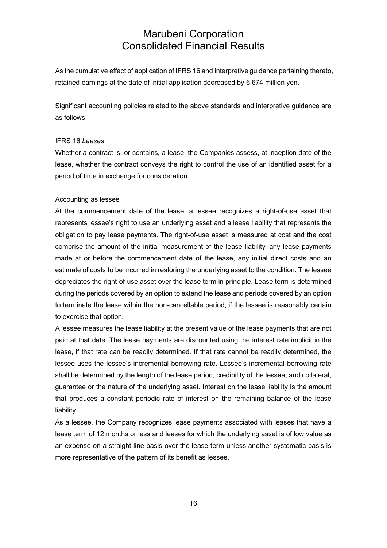As the cumulative effect of application of IFRS 16 and interpretive guidance pertaining thereto, retained earnings at the date of initial application decreased by 6,674 million yen.

Significant accounting policies related to the above standards and interpretive guidance are as follows.

#### IFRS 16 *Leases*

Whether a contract is, or contains, a lease, the Companies assess, at inception date of the lease, whether the contract conveys the right to control the use of an identified asset for a period of time in exchange for consideration.

#### Accounting as lessee

At the commencement date of the lease, a lessee recognizes a right-of-use asset that represents lessee's right to use an underlying asset and a lease liability that represents the obligation to pay lease payments. The right-of-use asset is measured at cost and the cost comprise the amount of the initial measurement of the lease liability, any lease payments made at or before the commencement date of the lease, any initial direct costs and an estimate of costs to be incurred in restoring the underlying asset to the condition. The lessee depreciates the right-of-use asset over the lease term in principle. Lease term is determined during the periods covered by an option to extend the lease and periods covered by an option to terminate the lease within the non-cancellable period, if the lessee is reasonably certain to exercise that option.

A lessee measures the lease liability at the present value of the lease payments that are not paid at that date. The lease payments are discounted using the interest rate implicit in the lease, if that rate can be readily determined. If that rate cannot be readily determined, the lessee uses the lessee's incremental borrowing rate. Lessee's incremental borrowing rate shall be determined by the length of the lease period, credibility of the lessee, and collateral, guarantee or the nature of the underlying asset. Interest on the lease liability is the amount that produces a constant periodic rate of interest on the remaining balance of the lease liability.

As a lessee, the Company recognizes lease payments associated with leases that have a lease term of 12 months or less and leases for which the underlying asset is of low value as an expense on a straight-line basis over the lease term unless another systematic basis is more representative of the pattern of its benefit as lessee.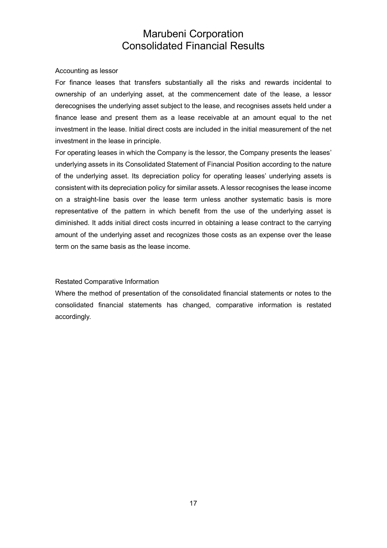#### Accounting as lessor

For finance leases that transfers substantially all the risks and rewards incidental to ownership of an underlying asset, at the commencement date of the lease, a lessor derecognises the underlying asset subject to the lease, and recognises assets held under a finance lease and present them as a lease receivable at an amount equal to the net investment in the lease. Initial direct costs are included in the initial measurement of the net investment in the lease in principle.

For operating leases in which the Company is the lessor, the Company presents the leases' underlying assets in its Consolidated Statement of Financial Position according to the nature of the underlying asset. Its depreciation policy for operating leases' underlying assets is consistent with its depreciation policy for similar assets. A lessor recognises the lease income on a straight-line basis over the lease term unless another systematic basis is more representative of the pattern in which benefit from the use of the underlying asset is diminished. It adds initial direct costs incurred in obtaining a lease contract to the carrying amount of the underlying asset and recognizes those costs as an expense over the lease term on the same basis as the lease income.

#### Restated Comparative Information

Where the method of presentation of the consolidated financial statements or notes to the consolidated financial statements has changed, comparative information is restated accordingly.